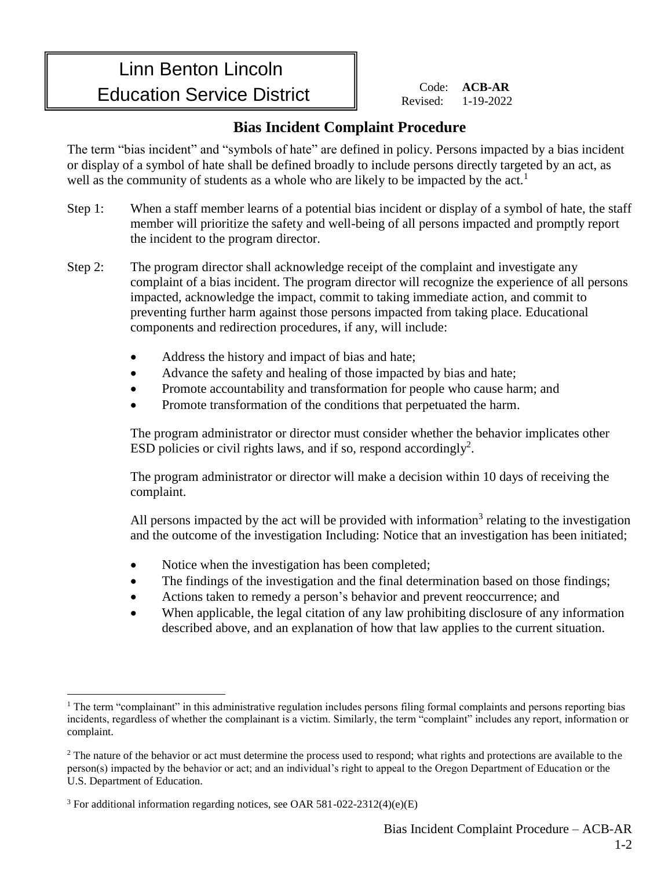## Linn Benton Lincoln Education Service District

 Code: **ACB-AR** Revised: 1-19-2022

## **Bias Incident Complaint Procedure**

The term "bias incident" and "symbols of hate" are defined in policy. Persons impacted by a bias incident or display of a symbol of hate shall be defined broadly to include persons directly targeted by an act, as well as the community of students as a whole who are likely to be impacted by the act.<sup>1</sup>

- Step 1: When a staff member learns of a potential bias incident or display of a symbol of hate, the staff member will prioritize the safety and well-being of all persons impacted and promptly report the incident to the program director.
- Step 2: The program director shall acknowledge receipt of the complaint and investigate any complaint of a bias incident. The program director will recognize the experience of all persons impacted, acknowledge the impact, commit to taking immediate action, and commit to preventing further harm against those persons impacted from taking place. Educational components and redirection procedures, if any, will include:
	- Address the history and impact of bias and hate;
	- Advance the safety and healing of those impacted by bias and hate;
	- Promote accountability and transformation for people who cause harm; and
	- Promote transformation of the conditions that perpetuated the harm.

The program administrator or director must consider whether the behavior implicates other ESD policies or civil rights laws, and if so, respond accordingly<sup>2</sup>.

The program administrator or director will make a decision within 10 days of receiving the complaint.

All persons impacted by the act will be provided with information<sup>3</sup> relating to the investigation and the outcome of the investigation Including: Notice that an investigation has been initiated;

- Notice when the investigation has been completed;
- The findings of the investigation and the final determination based on those findings;
- Actions taken to remedy a person's behavior and prevent reoccurrence; and
- When applicable, the legal citation of any law prohibiting disclosure of any information described above, and an explanation of how that law applies to the current situation.

 $\overline{a}$ 

 $<sup>1</sup>$  The term "complainant" in this administrative regulation includes persons filing formal complaints and persons reporting bias</sup> incidents, regardless of whether the complainant is a victim. Similarly, the term "complaint" includes any report, information or complaint.

<sup>&</sup>lt;sup>2</sup> The nature of the behavior or act must determine the process used to respond; what rights and protections are available to the person(s) impacted by the behavior or act; and an individual's right to appeal to the Oregon Department of Education or the U.S. Department of Education.

 $3$  For additional information regarding notices, see OAR 581-022-2312(4)(e)(E)